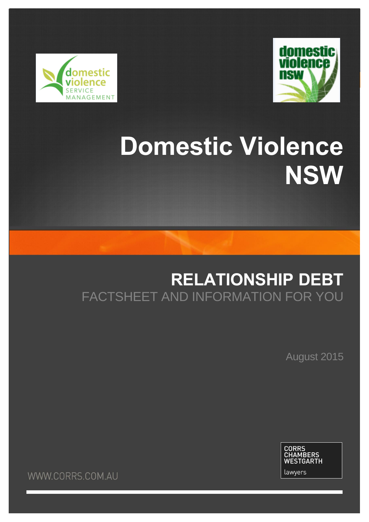



# **Domestic Violence NSW**

# **RELATIONSHIP DEBT** FACTSHEET AND INFORMATION FOR YOU

August 2015



WWW.CORRS.COM.AU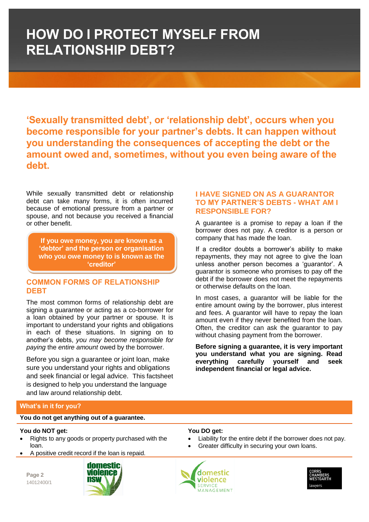**'Sexually transmitted debt', or 'relationship debt', occurs when you become responsible for your partner's debts. It can happen without you understanding the consequences of accepting the debt or the amount owed and, sometimes, without you even being aware of the debt.**

While sexually transmitted debt or relationship debt can take many forms, it is often incurred because of emotional pressure from a partner or spouse, and not because you received a financial or other benefit.

**If you owe money, you are known as a 'debtor' and the person or organisation who you owe money to is known as the 'creditor'**

### **COMMON FORMS OF RELATIONSHIP DEBT**

The most common forms of relationship debt are signing a guarantee or acting as a co-borrower for a loan obtained by your partner or spouse. It is important to understand your rights and obligations in each of these situations. In signing on to another's debts, *you may become responsible for paying* the *entire amount* owed by the borrower.

Before you sign a guarantee or joint loan, make sure you understand your rights and obligations and seek financial or legal advice. This factsheet is designed to help you understand the language and law around relationship debt.

### **I HAVE SIGNED ON AS A GUARANTOR TO MY PARTNER'S DEBTS - WHAT AM I RESPONSIBLE FOR?**

A guarantee is a promise to repay a loan if the borrower does not pay. A creditor is a person or company that has made the loan.

If a creditor doubts a borrower's ability to make repayments, they may not agree to give the loan unless another person becomes a 'guarantor'. A guarantor is someone who promises to pay off the debt if the borrower does not meet the repayments or otherwise defaults on the loan.

In most cases, a guarantor will be liable for the entire amount owing by the borrower, plus interest and fees. A guarantor will have to repay the loan amount even if they never benefited from the loan. Often, the creditor can ask the guarantor to pay without chasing payment from the borrower.

**Before signing a guarantee, it is very important you understand what you are signing. Read everything carefully yourself and seek independent financial or legal advice.**

### **What's in it for you?**

### **You do not get anything out of a guarantee.**

### **You do NOT get:**

- Rights to any goods or property purchased with the loan.
- A positive credit record if the loan is repaid.

**Page 2** 14012400/1



### **You DO get:**

- Liability for the entire debt if the borrower does not pay.
- Greater difficulty in securing your own loans.



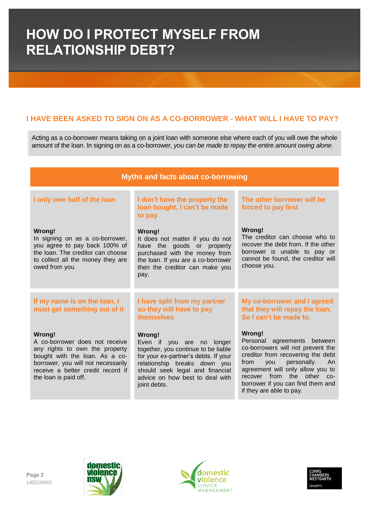### **I HAVE BEEN ASKED TO SIGN ON AS A CO-BORROWER - WHAT WILL I HAVE TO PAY?**

Acting as a co-borrower means taking on a joint loan with someone else where each of you will owe the whole amount of the loan. In signing on as a co-borrower, *you can be made to repay the entire amount owing alone.*

| <b>Myths and facts about co-borrowing</b>                                                                                                                                                                        |                                                                                                                                                                                                                                          |                                                                                                                                                                                                                                                                                                     |  |  |
|------------------------------------------------------------------------------------------------------------------------------------------------------------------------------------------------------------------|------------------------------------------------------------------------------------------------------------------------------------------------------------------------------------------------------------------------------------------|-----------------------------------------------------------------------------------------------------------------------------------------------------------------------------------------------------------------------------------------------------------------------------------------------------|--|--|
| I only owe half of the loan                                                                                                                                                                                      | I don't have the property the<br>loan bought, I can't be made<br>to pay                                                                                                                                                                  | The other borrower will be<br>forced to pay first                                                                                                                                                                                                                                                   |  |  |
| Wrong!<br>In signing on as a co-borrower,<br>you agree to pay back 100% of<br>the loan. The creditor can choose<br>to collect all the money they are<br>owed from you.                                           | Wrong!<br>It does not matter if you do not<br>have the goods or property<br>purchased with the money from<br>the loan. If you are a co-borrower<br>then the creditor can make you<br>pay.                                                | <b>Wrong!</b><br>The creditor can choose who to<br>recover the debt from. If the other<br>borrower is unable to pay or<br>cannot be found, the creditor will<br>choose you.                                                                                                                         |  |  |
| If my name is on the loan, I<br>must get something out of it                                                                                                                                                     | I have split from my partner<br>so they will have to pay<br>themselves                                                                                                                                                                   | My co-borrower and I agreed<br>that they will repay the loan.<br>So I can't be made to.                                                                                                                                                                                                             |  |  |
| Wrong!<br>A co-borrower does not receive<br>any rights to own the property<br>bought with the loan. As a co-<br>borrower, you will not necessarily<br>receive a better credit record if<br>the loan is paid off. | Wrong!<br>Even if you are no longer<br>together, you continue to be liable<br>for your ex-partner's debts. If your<br>relationship breaks down you<br>should seek legal and financial<br>advice on how best to deal with<br>joint debts. | Wrong!<br>Personal agreements<br>between<br>co-borrowers will not prevent the<br>creditor from recovering the debt<br>from<br>personally.<br>An<br><b>VOU</b><br>agreement will only allow you to<br>recover from<br>the other co-<br>borrower if you can find them and<br>if they are able to pay. |  |  |







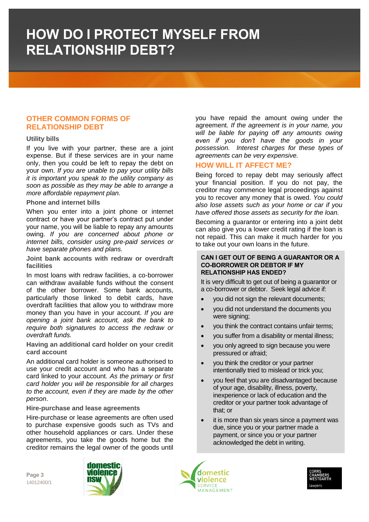### **OTHER COMMON FORMS OF RELATIONSHIP DEBT**

### **Utility bills**

If you live with your partner, these are a joint expense. But if these services are in your name only, then you could be left to repay the debt on your own. *If you are unable to pay your utility bills it is important you speak to the utility company as soon as possible as they may be able to arrange a more affordable repayment plan.*

#### **Phone and internet bills**

When you enter into a joint phone or internet contract or have your partner's contract put under your name, you will be liable to repay any amounts owing. *If you are concerned about phone or internet bills, consider using pre-paid services or have separate phones and plans.*

**Joint bank accounts with redraw or overdraft facilities** 

In most loans with redraw facilities, a co-borrower can withdraw available funds without the consent of the other borrower. Some bank accounts, particularly those linked to debit cards, have overdraft facilities that allow you to withdraw more money than you have in your account. *If you are opening a joint bank account, ask the bank to require both signatures to access the redraw or overdraft funds.*

**Having an additional card holder on your credit card account** 

An additional card holder is someone authorised to use your credit account and who has a separate card linked to your account. *As the primary or first card holder you will be responsible for all charges to the account, even if they are made by the other person*.

### **Hire-purchase and lease agreements**

Hire-purchase or lease agreements are often used to purchase expensive goods such as TVs and other household appliances or cars. Under these agreements, you take the goods home but the creditor remains the legal owner of the goods until

you have repaid the amount owing under the agreement. *If the agreement is in your name, you will be liable for paying off any amounts owing even if you don't have the goods in your possession. Interest charges for these types of agreements can be very expensive.*

### **HOW WILL IT AFFECT ME?**

Being forced to repay debt may seriously affect your financial position. If you do not pay, the creditor may commence legal proceedings against you to recover any money that is owed. *You could also lose assets such as your home or car if you have offered those assets as security for the loan.*

Becoming a guarantor or entering into a joint debt can also give you a lower credit rating if the loan is not repaid. This can make it much harder for you to take out your own loans in the future.

#### **CAN I GET OUT OF BEING A GUARANTOR OR A CO-BORROWER OR DEBTOR IF MY RELATIONSHIP HAS ENDED?**

It is very difficult to get out of being a guarantor or a co-borrower or debtor. Seek legal advice if:

- you did not sign the relevant documents;
- you did not understand the documents you were signing;
- you think the contract contains unfair terms;
- you suffer from a disability or mental illness;
- you only agreed to sign because you were pressured or afraid;
- you think the creditor or your partner intentionally tried to mislead or trick you;
- you feel that you are disadvantaged because of your age, disability, illness, poverty, inexperience or lack of education and the creditor or your partner took advantage of that; or
- it is more than six years since a payment was due, since you or your partner made a payment, or since you or your partner acknowledged the debt in writing.





**Page 3** 14012400/1

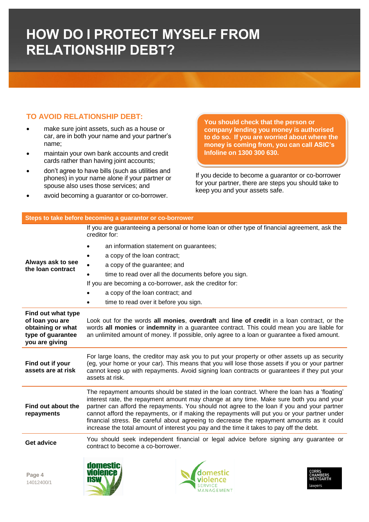### **TO AVOID RELATIONSHIP DEBT:**

- make sure joint assets, such as a house or car, are in both your name and your partner's name;
- maintain your own bank accounts and credit cards rather than having joint accounts;
- don't agree to have bills (such as utilities and phones) in your name alone if your partner or spouse also uses those services; and
- avoid becoming a guarantor or co-borrower.

**Steps to take before becoming a guarantor or co-borrower**

**You should check that the person or company lending you money is authorised to do so. If you are worried about where the money is coming from, you can call ASIC's Infoline on 1300 300 630.**

If you decide to become a guarantor or co-borrower for your partner, there are steps you should take to keep you and your assets safe.

|                                                                                                   | If you are guaranteeing a personal or home loan or other type of financial agreement, ask the<br>creditor for:                                                                                                                                                                                                                                                                                                                                                                                                                                                                  |  |  |  |
|---------------------------------------------------------------------------------------------------|---------------------------------------------------------------------------------------------------------------------------------------------------------------------------------------------------------------------------------------------------------------------------------------------------------------------------------------------------------------------------------------------------------------------------------------------------------------------------------------------------------------------------------------------------------------------------------|--|--|--|
| Always ask to see<br>the loan contract                                                            | an information statement on guarantees;                                                                                                                                                                                                                                                                                                                                                                                                                                                                                                                                         |  |  |  |
|                                                                                                   | a copy of the loan contract;                                                                                                                                                                                                                                                                                                                                                                                                                                                                                                                                                    |  |  |  |
|                                                                                                   | a copy of the guarantee; and                                                                                                                                                                                                                                                                                                                                                                                                                                                                                                                                                    |  |  |  |
|                                                                                                   | time to read over all the documents before you sign.                                                                                                                                                                                                                                                                                                                                                                                                                                                                                                                            |  |  |  |
|                                                                                                   | If you are becoming a co-borrower, ask the creditor for:                                                                                                                                                                                                                                                                                                                                                                                                                                                                                                                        |  |  |  |
|                                                                                                   | a copy of the loan contract; and                                                                                                                                                                                                                                                                                                                                                                                                                                                                                                                                                |  |  |  |
|                                                                                                   | time to read over it before you sign.                                                                                                                                                                                                                                                                                                                                                                                                                                                                                                                                           |  |  |  |
| Find out what type<br>of loan you are<br>obtaining or what<br>type of guarantee<br>you are giving | Look out for the words all monies, overdraft and line of credit in a loan contract, or the<br>words all monies or indemnity in a guarantee contract. This could mean you are liable for<br>an unlimited amount of money. If possible, only agree to a loan or guarantee a fixed amount.                                                                                                                                                                                                                                                                                         |  |  |  |
| Find out if your<br>assets are at risk                                                            | For large loans, the creditor may ask you to put your property or other assets up as security<br>(eg, your home or your car). This means that you will lose those assets if you or your partner<br>cannot keep up with repayments. Avoid signing loan contracts or guarantees if they put your<br>assets at risk.                                                                                                                                                                                                                                                               |  |  |  |
| Find out about the<br>repayments                                                                  | The repayment amounts should be stated in the loan contract. Where the loan has a 'floating'<br>interest rate, the repayment amount may change at any time. Make sure both you and your<br>partner can afford the repayments. You should not agree to the loan if you and your partner<br>cannot afford the repayments, or if making the repayments will put you or your partner under<br>financial stress. Be careful about agreeing to decrease the repayment amounts as it could<br>increase the total amount of interest you pay and the time it takes to pay off the debt. |  |  |  |
| <b>Get advice</b>                                                                                 | You should seek independent financial or legal advice before signing any guarantee or<br>contract to become a co-borrower.                                                                                                                                                                                                                                                                                                                                                                                                                                                      |  |  |  |
| Page 4<br>14012400/1                                                                              | awyers<br><b>AGEMENT</b>                                                                                                                                                                                                                                                                                                                                                                                                                                                                                                                                                        |  |  |  |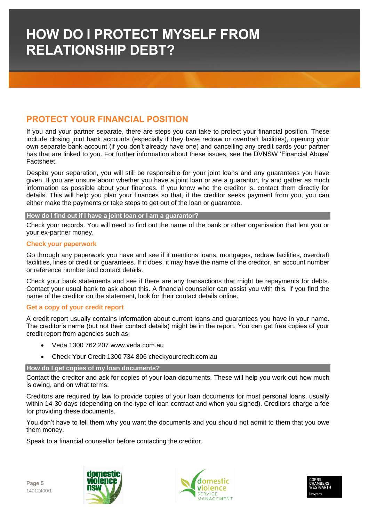### **PROTECT YOUR FINANCIAL POSITION**

If you and your partner separate, there are steps you can take to protect your financial position. These include closing joint bank accounts (especially if they have redraw or overdraft facilities), opening your own separate bank account (if you don't already have one) and cancelling any credit cards your partner has that are linked to you. For further information about these issues, see the DVNSW 'Financial Abuse' Factsheet.

Despite your separation, you will still be responsible for your joint loans and any guarantees you have given. If you are unsure about whether you have a joint loan or are a guarantor, try and gather as much information as possible about your finances. If you know who the creditor is, contact them directly for details. This will help you plan your finances so that, if the creditor seeks payment from you, you can either make the payments or take steps to get out of the loan or guarantee.

#### **How do I find out if I have a joint loan or I am a guarantor?**

Check your records. You will need to find out the name of the bank or other organisation that lent you or your ex-partner money.

### **Check your paperwork**

Go through any paperwork you have and see if it mentions loans, mortgages, redraw facilities, overdraft facilities, lines of credit or guarantees. If it does, it may have the name of the creditor, an account number or reference number and contact details.

Check your bank statements and see if there are any transactions that might be repayments for debts. Contact your usual bank to ask about this. A financial counsellor can assist you with this. If you find the name of the creditor on the statement, look for their contact details online.

### **Get a copy of your credit report**

A credit report usually contains information about current loans and guarantees you have in your name. The creditor's name (but not their contact details) might be in the report. You can get free copies of your credit report from agencies such as:

- Veda 1300 762 207 www.veda.com.au
- Check Your Credit 1300 734 806 checkyourcredit.com.au

### **How do I get copies of my loan documents?**

Contact the creditor and ask for copies of your loan documents. These will help you work out how much is owing, and on what terms.

Creditors are required by law to provide copies of your loan documents for most personal loans, usually within 14-30 days (depending on the type of loan contract and when you signed). Creditors charge a fee for providing these documents.

You don't have to tell them why you want the documents and you should not admit to them that you owe them money.

Speak to a financial counsellor before contacting the creditor.





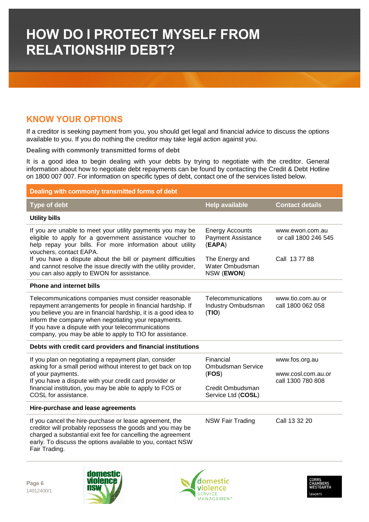### **KNOW YOUR OPTIONS**

If a creditor is seeking payment from you, you should get legal and financial advice to discuss the options available to you. If you do nothing the creditor may take legal action against you.

**Dealing with commonly transmitted forms of debt**

It is a good idea to begin dealing with your debts by trying to negotiate with the creditor. General information about how to negotiate debt repayments can be found by contacting the Credit & Debt Hotline on 1800 007 007. For information on specific types of debt, contact one of the services listed below.

| Dealing with commonly transmitted forms of debt                                                                                                                                                                                                                                                                                                                   |                                                                                          |                                                           |  |
|-------------------------------------------------------------------------------------------------------------------------------------------------------------------------------------------------------------------------------------------------------------------------------------------------------------------------------------------------------------------|------------------------------------------------------------------------------------------|-----------------------------------------------------------|--|
| <b>Type of debt</b>                                                                                                                                                                                                                                                                                                                                               | <b>Help available</b>                                                                    | <b>Contact details</b>                                    |  |
| <b>Utility bills</b>                                                                                                                                                                                                                                                                                                                                              |                                                                                          |                                                           |  |
| If you are unable to meet your utility payments you may be<br>eligible to apply for a government assistance voucher to<br>help repay your bills. For more information about utility<br>vouchers, contact EAPA.                                                                                                                                                    | <b>Energy Accounts</b><br><b>Payment Assistance</b><br>(EAPA)                            | www.ewon.com.au<br>or call 1800 246 545                   |  |
| If you have a dispute about the bill or payment difficulties<br>and cannot resolve the issue directly with the utility provider,<br>you can also apply to EWON for assistance.                                                                                                                                                                                    | The Energy and<br>Water Ombudsman<br>NSW (EWON)                                          | Call 137788                                               |  |
| <b>Phone and internet bills</b>                                                                                                                                                                                                                                                                                                                                   |                                                                                          |                                                           |  |
| Telecommunications companies must consider reasonable<br>repayment arrangements for people in financial hardship. If<br>you believe you are in financial hardship, it is a good idea to<br>inform the company when negotiating your repayments.<br>If you have a dispute with your telecommunications<br>company, you may be able to apply to TIO for assistance. | Telecommunications<br>Industry Ombudsman<br>(TIO)                                        | www.tio.com.au or<br>call 1800 062 058                    |  |
| Debts with credit card providers and financial institutions                                                                                                                                                                                                                                                                                                       |                                                                                          |                                                           |  |
| If you plan on negotiating a repayment plan, consider<br>asking for a small period without interest to get back on top<br>of your payments.<br>If you have a dispute with your credit card provider or<br>financial institution, you may be able to apply to FOS or<br>COSL for assistance.                                                                       | Financial<br><b>Ombudsman Service</b><br>(FOS)<br>Credit Ombudsman<br>Service Ltd (COSL) | www.fos.org.au<br>www.cosl.com.au.or<br>call 1300 780 808 |  |
| Hire-purchase and lease agreements                                                                                                                                                                                                                                                                                                                                |                                                                                          |                                                           |  |
| If you cancel the hire-purchase or lease agreement, the<br>creditor will probably repossess the goods and you may be<br>charged a substantial exit fee for cancelling the agreement<br>early. To discuss the options available to you, contact NSW<br>Fair Trading.                                                                                               | <b>NSW Fair Trading</b>                                                                  | Call 13 32 20                                             |  |

**Page 6** 14012400/1





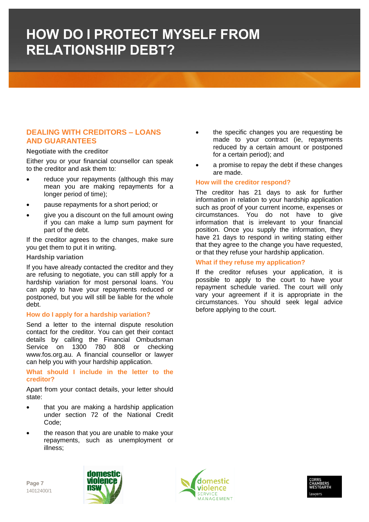### **DEALING WITH CREDITORS – LOANS AND GUARANTEES**

### **Negotiate with the creditor**

Either you or your financial counsellor can speak to the creditor and ask them to:

- reduce your repayments (although this may mean you are making repayments for a longer period of time);
- pause repayments for a short period; or
- give you a discount on the full amount owing if you can make a lump sum payment for part of the debt.

If the creditor agrees to the changes, make sure you get them to put it in writing.

#### **Hardship variation**

If you have already contacted the creditor and they are refusing to negotiate, you can still apply for a hardship variation for most personal loans. You can apply to have your repayments reduced or postponed, but you will still be liable for the whole debt.

### **How do I apply for a hardship variation?**

Send a letter to the internal dispute resolution contact for the creditor. You can get their contact details by calling the Financial Ombudsman Service on 1300 780 808 or checking www.fos.org.au. A financial counsellor or lawyer can help you with your hardship application.

**What should I include in the letter to the creditor?**

Apart from your contact details, your letter should state:

- that you are making a hardship application under section 72 of the National Credit Code;
- the reason that you are unable to make your repayments, such as unemployment or illness;
- the specific changes you are requesting be made to your contract (ie, repayments reduced by a certain amount or postponed for a certain period); and
- a promise to repay the debt if these changes are made.

### **How will the creditor respond?**

The creditor has 21 days to ask for further information in relation to your hardship application such as proof of your current income, expenses or circumstances. You do not have to give information that is irrelevant to your financial position. Once you supply the information, they have 21 days to respond in writing stating either that they agree to the change you have requested, or that they refuse your hardship application.

### **What if they refuse my application?**

If the creditor refuses your application, it is possible to apply to the court to have your repayment schedule varied. The court will only vary your agreement if it is appropriate in the circumstances. You should seek legal advice before applying to the court.



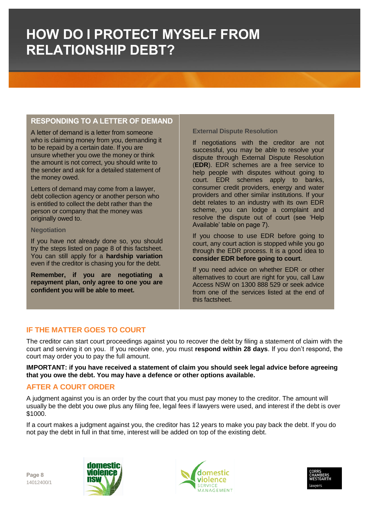### **RESPONDING TO A LETTER OF DEMAND**

A letter of demand is a letter from someone who is claiming money from you, demanding it to be repaid by a certain date. If you are unsure whether you owe the money or think the amount is not correct, you should write to the sender and ask for a detailed statement of the money owed.

Letters of demand may come from a lawyer, debt collection agency or another person who is entitled to collect the debt rather than the person or company that the money was originally owed to.

### **Negotiation**

If you have not already done so, you should try the steps listed on page 8 of this factsheet. You can still apply for a **hardship variation** even if the creditor is chasing you for the debt.

**Remember, if you are negotiating a repayment plan, only agree to one you are confident you will be able to meet.**

### **External Dispute Resolution**

If negotiations with the creditor are not successful, you may be able to resolve your dispute through External Dispute Resolution (**EDR**). EDR schemes are a free service to help people with disputes without going to court. EDR schemes apply to banks, consumer credit providers, energy and water providers and other similar institutions. If your debt relates to an industry with its own EDR scheme, you can lodge a complaint and resolve the dispute out of court (see 'Help Available' table on page 7).

If you choose to use EDR before going to court, any court action is stopped while you go through the EDR process. It is a good idea to **consider EDR before going to court**.

If you need advice on whether EDR or other alternatives to court are right for you, call Law Access NSW on 1300 888 529 or seek advice from one of the services listed at the end of this factsheet.

### **IF THE MATTER GOES TO COURT**

The creditor can start court proceedings against you to recover the debt by filing a statement of claim with the court and serving it on you. If you receive one, you must **respond within 28 days**. If you don't respond, the court may order you to pay the full amount.

**IMPORTANT: if you have received a statement of claim you should seek legal advice before agreeing that you owe the debt. You may have a defence or other options available.** 

### **AFTER A COURT ORDER**

A judgment against you is an order by the court that you must pay money to the creditor. The amount will usually be the debt you owe plus any filing fee, legal fees if lawyers were used, and interest if the debt is over \$1000.

If a court makes a judgment against you, the creditor has 12 years to make you pay back the debt. If you do not pay the debt in full in that time, interest will be added on top of the existing debt.

**Page 8** 14012400/1





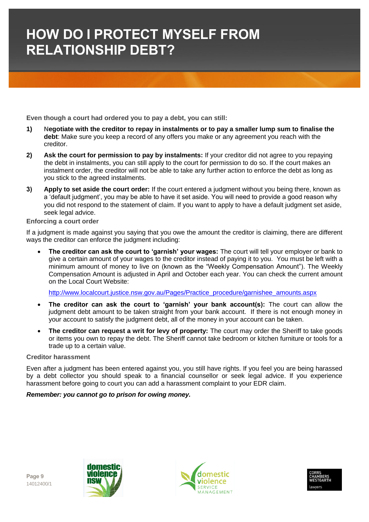**Even though a court had ordered you to pay a debt, you can still:**

- **1) Negotiate with the creditor to repay in instalments or to pay a smaller lump sum to finalise the debt**: Make sure you keep a record of any offers you make or any agreement you reach with the creditor.
- **2) Ask the court for permission to pay by instalments:** If your creditor did not agree to you repaying the debt in instalments, you can still apply to the court for permission to do so. If the court makes an instalment order, the creditor will not be able to take any further action to enforce the debt as long as you stick to the agreed instalments.
- **3) Apply to set aside the court order:** If the court entered a judgment without you being there, known as a 'default judgment', you may be able to have it set aside. You will need to provide a good reason why you did not respond to the statement of claim. If you want to apply to have a default judgment set aside, seek legal advice.

### **Enforcing a court order**

If a judgment is made against you saying that you owe the amount the creditor is claiming, there are different ways the creditor can enforce the judgment including:

 **The creditor can ask the court to 'garnish' your wages:** The court will tell your employer or bank to give a certain amount of your wages to the creditor instead of paying it to you. You must be left with a minimum amount of money to live on (known as the "Weekly Compensation Amount"). The Weekly Compensation Amount is adjusted in April and October each year. You can check the current amount on the Local Court Website:

[http://www.localcourt.justice.nsw.gov.au/Pages/Practice\\_procedure/garnishee\\_amounts.aspx](http://www.localcourt.justice.nsw.gov.au/Pages/Practice_procedure/garnishee_amounts.aspx)

- **The creditor can ask the court to 'garnish' your bank account(s):** The court can allow the judgment debt amount to be taken straight from your bank account. If there is not enough money in your account to satisfy the judgment debt, all of the money in your account can be taken.
- The creditor can request a writ for levy of property: The court may order the Sheriff to take goods or items you own to repay the debt. The Sheriff cannot take bedroom or kitchen furniture or tools for a trade up to a certain value.

### **Creditor harassment**

Even after a judgment has been entered against you, you still have rights. If you feel you are being harassed by a debt collector you should speak to a financial counsellor or seek legal advice. If you experience harassment before going to court you can add a harassment complaint to your EDR claim.

### *Remember: you cannot go to prison for owing money.*